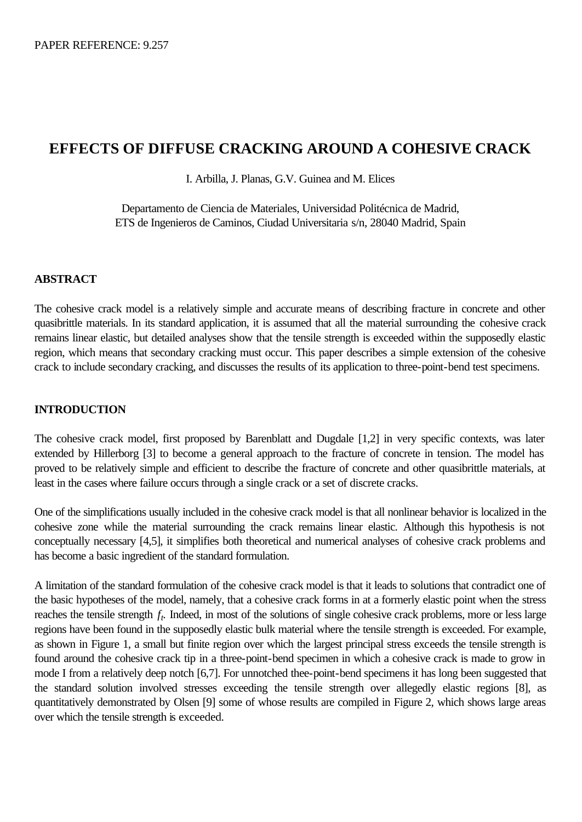# **EFFECTS OF DIFFUSE CRACKING AROUND A COHESIVE CRACK**

I. Arbilla, J. Planas, G.V. Guinea and M. Elices

Departamento de Ciencia de Materiales, Universidad Politécnica de Madrid, ETS de Ingenieros de Caminos, Ciudad Universitaria s/n, 28040 Madrid, Spain

# **ABSTRACT**

The cohesive crack model is a relatively simple and accurate means of describing fracture in concrete and other quasibrittle materials. In its standard application, it is assumed that all the material surrounding the cohesive crack remains linear elastic, but detailed analyses show that the tensile strength is exceeded within the supposedly elastic region, which means that secondary cracking must occur. This paper describes a simple extension of the cohesive crack to include secondary cracking, and discusses the results of its application to three-point-bend test specimens.

## **INTRODUCTION**

The cohesive crack model, first proposed by Barenblatt and Dugdale [1,2] in very specific contexts, was later extended by Hillerborg [3] to become a general approach to the fracture of concrete in tension. The model has proved to be relatively simple and efficient to describe the fracture of concrete and other quasibrittle materials, at least in the cases where failure occurs through a single crack or a set of discrete cracks.

One of the simplifications usually included in the cohesive crack model is that all nonlinear behavior is localized in the cohesive zone while the material surrounding the crack remains linear elastic. Although this hypothesis is not conceptually necessary [4,5], it simplifies both theoretical and numerical analyses of cohesive crack problems and has become a basic ingredient of the standard formulation.

A limitation of the standard formulation of the cohesive crack model is that it leads to solutions that contradict one of the basic hypotheses of the model, namely, that a cohesive crack forms in at a formerly elastic point when the stress reaches the tensile strength *f<sup>t</sup> .* Indeed, in most of the solutions of single cohesive crack problems, more or less large regions have been found in the supposedly elastic bulk material where the tensile strength is exceeded. For example, as shown in Figure 1, a small but finite region over which the largest principal stress exceeds the tensile strength is found around the cohesive crack tip in a three-point-bend specimen in which a cohesive crack is made to grow in mode I from a relatively deep notch [6,7]. For unnotched thee-point-bend specimens it has long been suggested that the standard solution involved stresses exceeding the tensile strength over allegedly elastic regions [8], as quantitatively demonstrated by Olsen [9] some of whose results are compiled in Figure 2, which shows large areas over which the tensile strength is exceeded.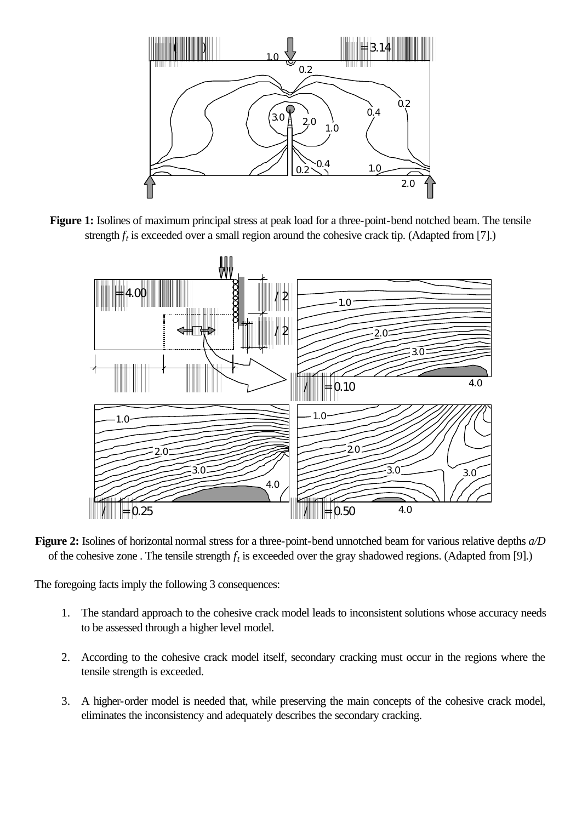

**Figure 1:** Isolines of maximum principal stress at peak load for a three-point-bend notched beam. The tensile strength  $f_t$  is exceeded over a small region around the cohesive crack tip. (Adapted from [7].)



**Figure 2:** Isolines of horizontal normal stress for a three-point-bend unnotched beam for various relative depths *a/D* of the cohesive zone . The tensile strength *f<sup>t</sup>* is exceeded over the gray shadowed regions. (Adapted from [9].)

The foregoing facts imply the following 3 consequences:

- 1. The standard approach to the cohesive crack model leads to inconsistent solutions whose accuracy needs to be assessed through a higher level model.
- 2. According to the cohesive crack model itself, secondary cracking must occur in the regions where the tensile strength is exceeded.
- 3. A higher-order model is needed that, while preserving the main concepts of the cohesive crack model, eliminates the inconsistency and adequately describes the secondary cracking.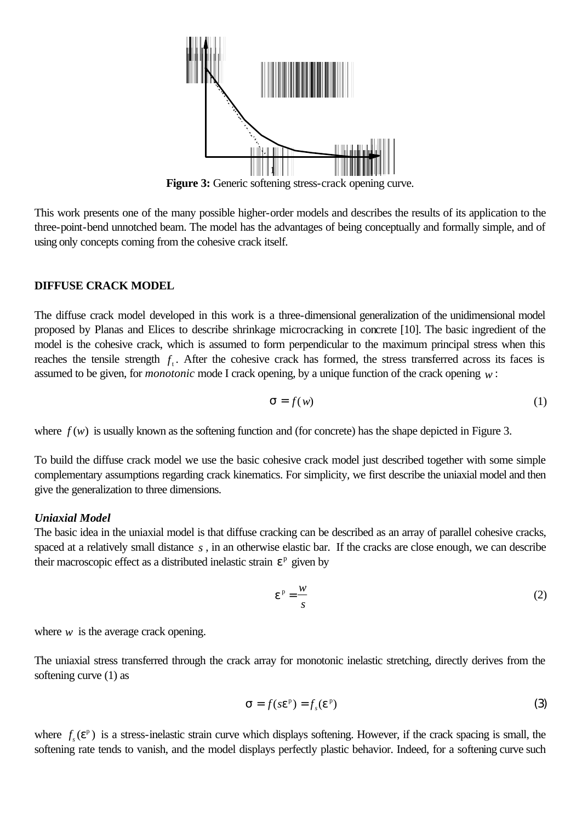

**Figure 3:** Generic softening stress-crack opening curve.

This work presents one of the many possible higher-order models and describes the results of its application to the three-point-bend unnotched beam. The model has the advantages of being conceptually and formally simple, and of using only concepts coming from the cohesive crack itself.

## **DIFFUSE CRACK MODEL**

The diffuse crack model developed in this work is a three-dimensional generalization of the unidimensional model proposed by Planas and Elices to describe shrinkage microcracking in concrete [10]. The basic ingredient of the model is the cohesive crack, which is assumed to form perpendicular to the maximum principal stress when this reaches the tensile strength  $f_t$ . After the cohesive crack has formed, the stress transferred across its faces is assumed to be given, for *monotonic* mode I crack opening, by a unique function of the crack opening *w* :

$$
\mathbf{S} = f(w) \tag{1}
$$

where  $f(w)$  is usually known as the softening function and (for concrete) has the shape depicted in Figure 3.

To build the diffuse crack model we use the basic cohesive crack model just described together with some simple complementary assumptions regarding crack kinematics. For simplicity, we first describe the uniaxial model and then give the generalization to three dimensions.

## *Uniaxial Model*

The basic idea in the uniaxial model is that diffuse cracking can be described as an array of parallel cohesive cracks, spaced at a relatively small distance *s* , in an otherwise elastic bar. If the cracks are close enough, we can describe their macroscopic effect as a distributed inelastic strain  $e^p$  given by

$$
e^{p} = \frac{w}{s}
$$
 (2)

where  $w$  is the average crack opening.

The uniaxial stress transferred through the crack array for monotonic inelastic stretching, directly derives from the softening curve (1) as

$$
\mathbf{S} = f(s\mathbf{e}^{\mathbf{p}}) = f_s(\mathbf{e}^{\mathbf{p}})
$$
 (3)

where  $f_s$  ( $e^p$ ) is a stress-inelastic strain curve which displays softening. However, if the crack spacing is small, the softening rate tends to vanish, and the model displays perfectly plastic behavior. Indeed, for a softening curve such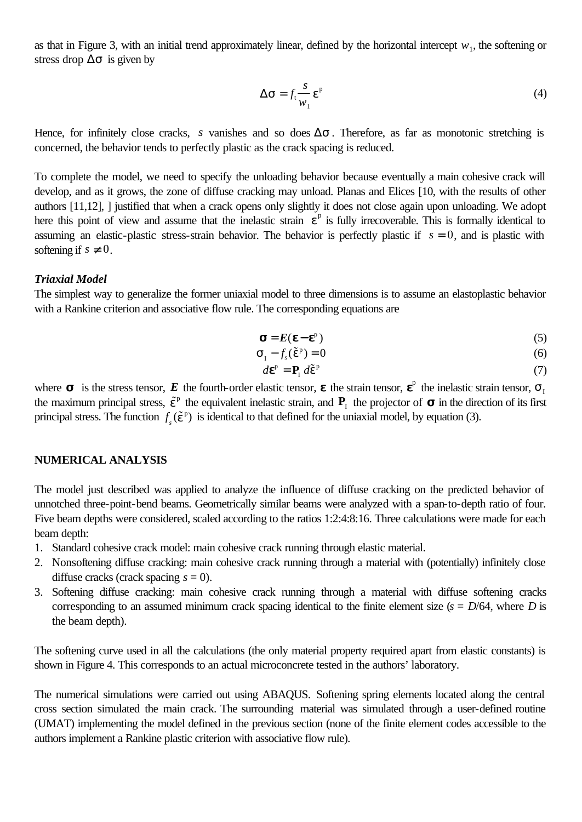as that in Figure 3, with an initial trend approximately linear, defined by the horizontal intercept  $w_1$ , the softening or stress drop  $\Delta s$  is given by

$$
\Delta \mathbf{S} = f_{t} \frac{s}{w_{1}} \mathbf{e}^{p}
$$
 (4)

Hence, for infinitely close cracks, *s* vanishes and so does  $\Delta s$ . Therefore, as far as monotonic stretching is concerned, the behavior tends to perfectly plastic as the crack spacing is reduced.

To complete the model, we need to specify the unloading behavior because eventually a main cohesive crack will develop, and as it grows, the zone of diffuse cracking may unload. Planas and Elices [10, with the results of other authors [11,12], ] justified that when a crack opens only slightly it does not close again upon unloading. We adopt here this point of view and assume that the inelastic strain  $e^p$  is fully irrecoverable. This is formally identical to assuming an elastic-plastic stress-strain behavior. The behavior is perfectly plastic if  $s = 0$ , and is plastic with softening if  $s \neq 0$ .

#### *Triaxial Model*

The simplest way to generalize the former uniaxial model to three dimensions is to assume an elastoplastic behavior with a Rankine criterion and associative flow rule. The corresponding equations are

$$
\mathbf{s} = E(\mathbf{e} - \mathbf{e}^2) \tag{5}
$$

$$
\mathbf{S}_{1} - f_{s}(\tilde{\mathbf{e}}^{p}) = 0 \tag{6}
$$

$$
d\mathbf{e}^{\mathbf{p}} = \mathbf{P}_{\mathbf{I}} d\tilde{\mathbf{e}}^{\mathbf{p}} \tag{7}
$$

where  $\boldsymbol{s}$  is the stress tensor,  $\boldsymbol{E}$  the fourth-order elastic tensor,  $\boldsymbol{\epsilon}$  the strain tensor,  $\boldsymbol{\epsilon}^p$  the inelastic strain tensor,  $\boldsymbol{s}_1$ the maximum principal stress,  $\tilde{e}^{\rho}$  the equivalent inelastic strain, and  $P_1$  the projector of  $\sigma$  in the direction of its first principal stress. The function  $f_s(\tilde{e}^p)$  is identical to that defined for the uniaxial model, by equation (3).

#### **NUMERICAL ANALYSIS**

The model just described was applied to analyze the influence of diffuse cracking on the predicted behavior of unnotched three-point-bend beams. Geometrically similar beams were analyzed with a span-to-depth ratio of four. Five beam depths were considered, scaled according to the ratios 1:2:4:8:16. Three calculations were made for each beam depth:

- 1. Standard cohesive crack model: main cohesive crack running through elastic material.
- 2. Nonsoftening diffuse cracking: main cohesive crack running through a material with (potentially) infinitely close diffuse cracks (crack spacing  $s = 0$ ).
- 3. Softening diffuse cracking: main cohesive crack running through a material with diffuse softening cracks corresponding to an assumed minimum crack spacing identical to the finite element size  $(s = D/64$ , where *D* is the beam depth).

The softening curve used in all the calculations (the only material property required apart from elastic constants) is shown in Figure 4. This corresponds to an actual microconcrete tested in the authors' laboratory.

The numerical simulations were carried out using ABAQUS. Softening spring elements located along the central cross section simulated the main crack. The surrounding material was simulated through a user-defined routine (UMAT) implementing the model defined in the previous section (none of the finite element codes accessible to the authors implement a Rankine plastic criterion with associative flow rule).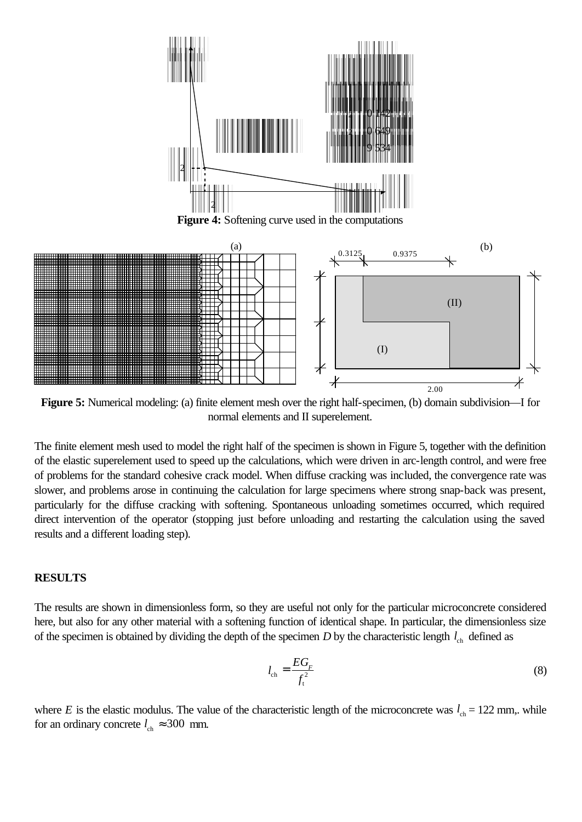

**Figure 4:** Softening curve used in the computations



**Figure 5:** Numerical modeling: (a) finite element mesh over the right half-specimen, (b) domain subdivision—I for normal elements and II superelement.

The finite element mesh used to model the right half of the specimen is shown in Figure 5, together with the definition of the elastic superelement used to speed up the calculations, which were driven in arc-length control, and were free of problems for the standard cohesive crack model. When diffuse cracking was included, the convergence rate was slower, and problems arose in continuing the calculation for large specimens where strong snap-back was present, particularly for the diffuse cracking with softening. Spontaneous unloading sometimes occurred, which required direct intervention of the operator (stopping just before unloading and restarting the calculation using the saved results and a different loading step).

#### **RESULTS**

The results are shown in dimensionless form, so they are useful not only for the particular microconcrete considered here, but also for any other material with a softening function of identical shape. In particular, the dimensionless size of the specimen is obtained by dividing the depth of the specimen  $D$  by the characteristic length  $l_{ch}$  defined as

$$
l_{\rm ch} = \frac{EG_F}{f_{\rm t}^2} \tag{8}
$$

where *E* is the elastic modulus. The value of the characteristic length of the microconcrete was  $l_{ch} = 122$  mm,. while for an ordinary concrete  $l_{ch} \approx 300$  mm.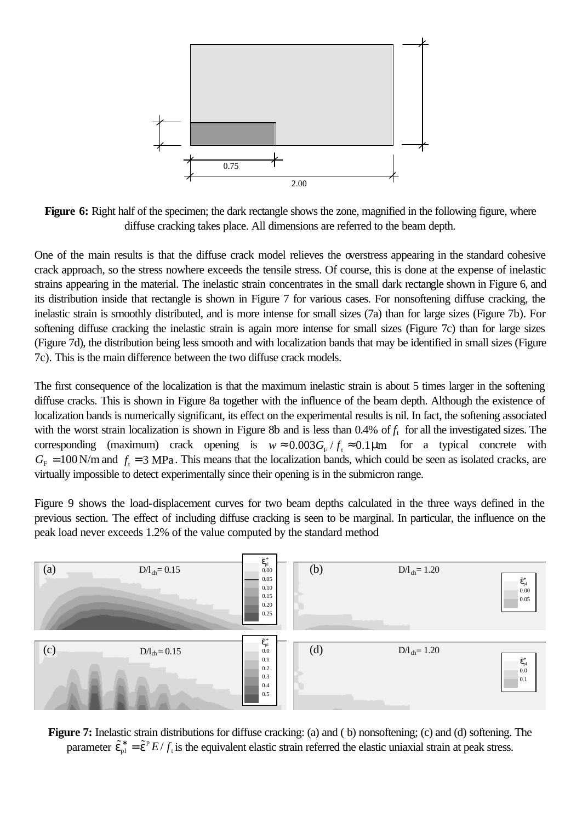

**Figure 6:** Right half of the specimen; the dark rectangle shows the zone, magnified in the following figure, where diffuse cracking takes place. All dimensions are referred to the beam depth.

One of the main results is that the diffuse crack model relieves the overstress appearing in the standard cohesive crack approach, so the stress nowhere exceeds the tensile stress. Of course, this is done at the expense of inelastic strains appearing in the material. The inelastic strain concentrates in the small dark rectangle shown in Figure 6, and its distribution inside that rectangle is shown in Figure 7 for various cases. For nonsoftening diffuse cracking, the inelastic strain is smoothly distributed, and is more intense for small sizes (7a) than for large sizes (Figure 7b). For softening diffuse cracking the inelastic strain is again more intense for small sizes (Figure 7c) than for large sizes (Figure 7d), the distribution being less smooth and with localization bands that may be identified in small sizes (Figure 7c). This is the main difference between the two diffuse crack models.

The first consequence of the localization is that the maximum inelastic strain is about 5 times larger in the softening diffuse cracks. This is shown in Figure 8a together with the influence of the beam depth. Although the existence of localization bands is numerically significant, its effect on the experimental results is nil. In fact, the softening associated with the worst strain localization is shown in Figure 8b and is less than  $0.4\%$  of  $f_t$  for all the investigated sizes. The corresponding (maximum) crack opening is  $w \approx 0.003 G_F / f_t \approx 0.1 \mu m$  for a typical concrete with  $G_F = 100 \text{ N/m}$  and  $f_t = 3 \text{ MPa}$ . This means that the localization bands, which could be seen as isolated cracks, are virtually impossible to detect experimentally since their opening is in the submicron range.

Figure 9 shows the load-displacement curves for two beam depths calculated in the three ways defined in the previous section. The effect of including diffuse cracking is seen to be marginal. In particular, the influence on the peak load never exceeds 1.2% of the value computed by the standard method



**Figure 7:** Inelastic strain distributions for diffuse cracking: (a) and ( b) nonsoftening; (c) and (d) softening. The parameter  $\tilde{e}_{pl}^* = \tilde{e}^p E/f_t$  is the equivalent elastic strain referred the elastic uniaxial strain at peak stress.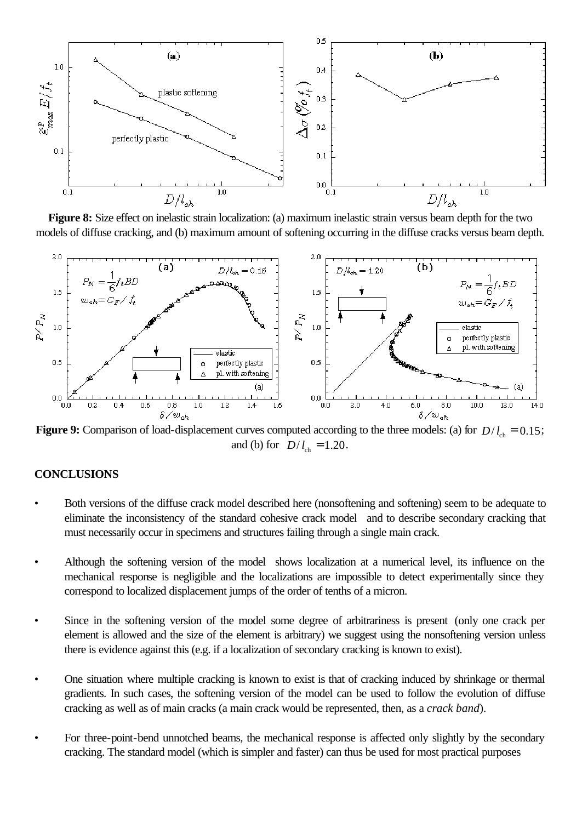

**Figure 8:** Size effect on inelastic strain localization: (a) maximum inelastic strain versus beam depth for the two models of diffuse cracking, and (b) maximum amount of softening occurring in the diffuse cracks versus beam depth.



**Figure 9:** Comparison of load-displacement curves computed according to the three models: (a) for  $D/l_{ch} = 0.15$ ; and (b) for  $D/l_{ch} = 1.20$ .

## **CONCLUSIONS**

- Both versions of the diffuse crack model described here (nonsoftening and softening) seem to be adequate to eliminate the inconsistency of the standard cohesive crack model and to describe secondary cracking that must necessarily occur in specimens and structures failing through a single main crack.
- Although the softening version of the model shows localization at a numerical level, its influence on the mechanical response is negligible and the localizations are impossible to detect experimentally since they correspond to localized displacement jumps of the order of tenths of a micron.
- Since in the softening version of the model some degree of arbitrariness is present (only one crack per element is allowed and the size of the element is arbitrary) we suggest using the nonsoftening version unless there is evidence against this (e.g. if a localization of secondary cracking is known to exist).
- One situation where multiple cracking is known to exist is that of cracking induced by shrinkage or thermal gradients. In such cases, the softening version of the model can be used to follow the evolution of diffuse cracking as well as of main cracks (a main crack would be represented, then, as a *crack band*).
- For three-point-bend unnotched beams, the mechanical response is affected only slightly by the secondary cracking. The standard model (which is simpler and faster) can thus be used for most practical purposes